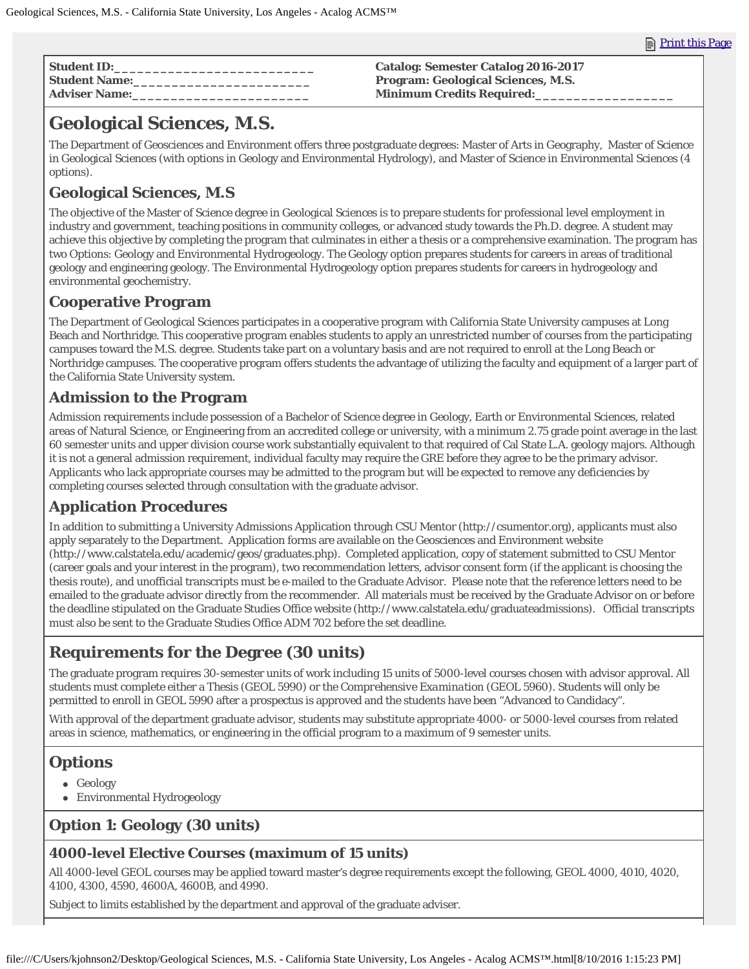| <b>Student ID:</b>   | <b>Catalog: Semester Catalog 2016-2017</b> |
|----------------------|--------------------------------------------|
| <b>Student Name:</b> | <b>Program: Geological Sciences, M.S.</b>  |
| <b>Adviser Name:</b> | <b>Minimum Credits Required:</b>           |

# **Geological Sciences, M.S.**

The Department of Geosciences and Environment offers three postgraduate degrees: Master of Arts in Geography, Master of Science in Geological Sciences (with options in Geology and Environmental Hydrology), and Master of Science in Environmental Sciences (4 options).

## **Geological Sciences, M.S**

The objective of the Master of Science degree in Geological Sciences is to prepare students for professional level employment in industry and government, teaching positions in community colleges, or advanced study towards the Ph.D. degree. A student may achieve this objective by completing the program that culminates in either a thesis or a comprehensive examination. The program has two Options: Geology and Environmental Hydrogeology. The Geology option prepares students for careers in areas of traditional geology and engineering geology. The Environmental Hydrogeology option prepares students for careers in hydrogeology and environmental geochemistry.

#### **Cooperative Program**

The Department of Geological Sciences participates in a cooperative program with California State University campuses at Long Beach and Northridge. This cooperative program enables students to apply an unrestricted number of courses from the participating campuses toward the M.S. degree. Students take part on a voluntary basis and are not required to enroll at the Long Beach or Northridge campuses. The cooperative program offers students the advantage of utilizing the faculty and equipment of a larger part of the California State University system.

### **Admission to the Program**

Admission requirements include possession of a Bachelor of Science degree in Geology, Earth or Environmental Sciences, related areas of Natural Science, or Engineering from an accredited college or university, with a minimum 2.75 grade point average in the last 60 semester units and upper division course work substantially equivalent to that required of Cal State L.A. geology majors. Although it is not a general admission requirement, individual faculty may require the GRE before they agree to be the primary advisor. Applicants who lack appropriate courses may be admitted to the program but will be expected to remove any deficiencies by completing courses selected through consultation with the graduate advisor.

## **Application Procedures**

In addition to submitting a University Admissions Application through CSU Mentor (http://csumentor.org), applicants must also apply separately to the Department. Application forms are available on the Geosciences and Environment website (http://www.calstatela.edu/academic/geos/graduates.php). Completed application, copy of statement submitted to CSU Mentor (career goals and your interest in the program), two recommendation letters, advisor consent form (if the applicant is choosing the thesis route), and unofficial transcripts must be e-mailed to the Graduate Advisor. Please note that the reference letters need to be emailed to the graduate advisor directly from the recommender. All materials must be received by the Graduate Advisor on or before the deadline stipulated on the Graduate Studies Office website (http://www.calstatela.edu/graduateadmissions). Official transcripts must also be sent to the Graduate Studies Office ADM 702 before the set deadline.

# **Requirements for the Degree (30 units)**

The graduate program requires 30-semester units of work including 15 units of 5000-level courses chosen with advisor approval. All students must complete either a *Thesis* (GEOL 5990) or the *Comprehensive Examination* (GEOL 5960). Students will only be permitted to enroll in GEOL 5990 after a prospectus is approved and the students have been "Advanced to Candidacy".

With approval of the department graduate advisor, students may substitute appropriate 4000- or 5000-level courses from related areas in science, mathematics, or engineering in the official program to a maximum of 9 semester units.

# **Options**

- Geology
- Environmental Hydrogeology

## **Option 1: Geology (30 units)**

#### **4000-level Elective Courses (maximum of 15 units)**

All 4000-level GEOL courses may be applied toward master's degree requirements except the following, GEOL 4000, 4010, 4020, 4100, 4300, 4590, 4600A, 4600B, and 4990.

Subject to limits established by the department and approval of the graduate adviser.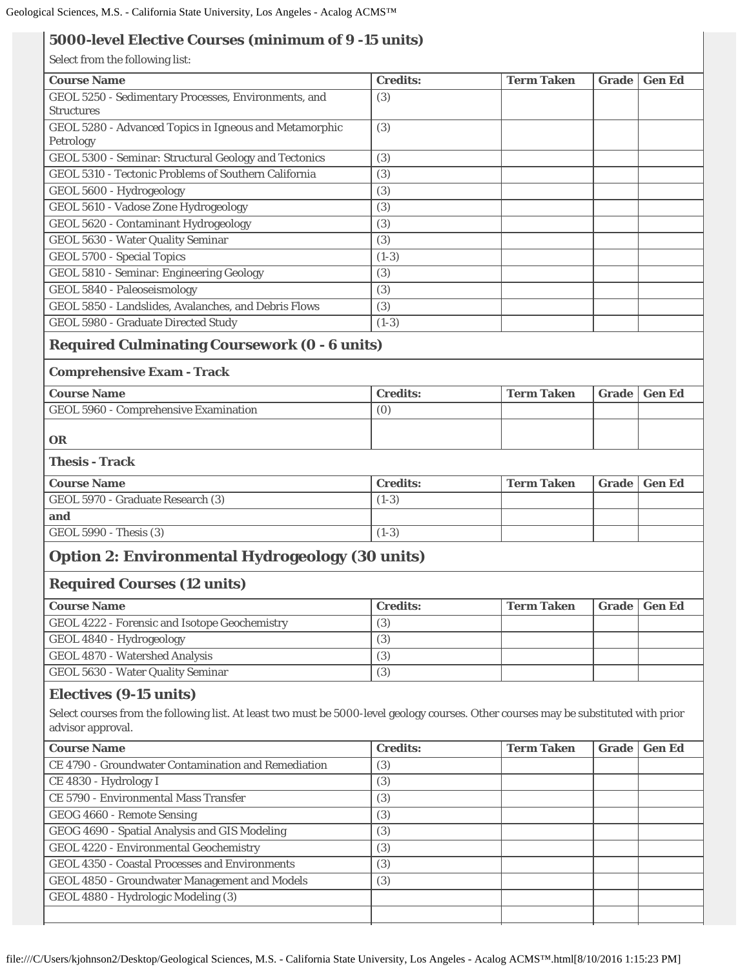#### **5000-level Elective Courses (minimum of 9 -15 units)**

Select from the following list:

| <b>Course Name</b>                                                                                                                   | <b>Credits:</b> | <b>Term Taken</b> | <b>Grade</b> | <b>Gen Ed</b> |
|--------------------------------------------------------------------------------------------------------------------------------------|-----------------|-------------------|--------------|---------------|
| GEOL 5250 - Sedimentary Processes, Environments, and                                                                                 | (3)             |                   |              |               |
| <b>Structures</b>                                                                                                                    |                 |                   |              |               |
| GEOL 5280 - Advanced Topics in Igneous and Metamorphic                                                                               | (3)             |                   |              |               |
| Petrology                                                                                                                            |                 |                   |              |               |
| GEOL 5300 - Seminar: Structural Geology and Tectonics                                                                                | (3)             |                   |              |               |
| GEOL 5310 - Tectonic Problems of Southern California                                                                                 | (3)             |                   |              |               |
| GEOL 5600 - Hydrogeology                                                                                                             | (3)             |                   |              |               |
| GEOL 5610 - Vadose Zone Hydrogeology                                                                                                 | (3)             |                   |              |               |
| GEOL 5620 - Contaminant Hydrogeology                                                                                                 | (3)             |                   |              |               |
| GEOL 5630 - Water Quality Seminar                                                                                                    | (3)             |                   |              |               |
| <b>GEOL 5700 - Special Topics</b>                                                                                                    | $(1-3)$         |                   |              |               |
| GEOL 5810 - Seminar: Engineering Geology                                                                                             | (3)             |                   |              |               |
| GEOL 5840 - Paleoseismology                                                                                                          | (3)             |                   |              |               |
| GEOL 5850 - Landslides, Avalanches, and Debris Flows                                                                                 | (3)             |                   |              |               |
| <b>GEOL 5980 - Graduate Directed Study</b>                                                                                           | $(1-3)$         |                   |              |               |
| <b>Required Culminating Coursework (0 - 6 units)</b>                                                                                 |                 |                   |              |               |
| <b>Comprehensive Exam - Track</b>                                                                                                    |                 |                   |              |               |
| <b>Course Name</b>                                                                                                                   | <b>Credits:</b> | <b>Term Taken</b> | <b>Grade</b> | <b>Gen Ed</b> |
| GEOL 5960 - Comprehensive Examination                                                                                                | (0)             |                   |              |               |
|                                                                                                                                      |                 |                   |              |               |
| OR                                                                                                                                   |                 |                   |              |               |
| <b>Thesis - Track</b>                                                                                                                |                 |                   |              |               |
| <b>Course Name</b>                                                                                                                   | <b>Credits:</b> | <b>Term Taken</b> | <b>Grade</b> | <b>Gen Ed</b> |
| GEOL 5970 - Graduate Research (3)                                                                                                    | $(1-3)$         |                   |              |               |
| and                                                                                                                                  |                 |                   |              |               |
| GEOL 5990 - Thesis (3)                                                                                                               | $(1-3)$         |                   |              |               |
|                                                                                                                                      |                 |                   |              |               |
| <b>Option 2: Environmental Hydrogeology (30 units)</b>                                                                               |                 |                   |              |               |
| <b>Required Courses (12 units)</b>                                                                                                   |                 |                   |              |               |
| <b>Course Name</b>                                                                                                                   | <b>Credits:</b> | <b>Term Taken</b> |              | Grade Gen Ed  |
| GEOL 4222 - Forensic and Isotope Geochemistry                                                                                        | (3)             |                   |              |               |
| GEOL 4840 - Hydrogeology                                                                                                             | (3)             |                   |              |               |
| GEOL 4870 - Watershed Analysis                                                                                                       | (3)             |                   |              |               |
| GEOL 5630 - Water Quality Seminar                                                                                                    | (3)             |                   |              |               |
|                                                                                                                                      |                 |                   |              |               |
| <b>Electives (9-15 units)</b>                                                                                                        |                 |                   |              |               |
| Select courses from the following list. At least two must be 5000-level geology courses. Other courses may be substituted with prior |                 |                   |              |               |
| advisor approval.                                                                                                                    |                 |                   |              |               |
| <b>Course Name</b>                                                                                                                   | <b>Credits:</b> | <b>Term Taken</b> | Grade        | <b>Gen Ed</b> |
| CE 4790 - Groundwater Contamination and Remediation                                                                                  | (3)             |                   |              |               |
| CE 4830 - Hydrology I                                                                                                                | (3)             |                   |              |               |
| CE 5790 - Environmental Mass Transfer                                                                                                | (3)             |                   |              |               |
| GEOG 4660 - Remote Sensing                                                                                                           | (3)             |                   |              |               |
| GEOG 4690 - Spatial Analysis and GIS Modeling                                                                                        | (3)             |                   |              |               |
| GEOL 4220 - Environmental Geochemistry                                                                                               | (3)             |                   |              |               |
| GEOL 4350 - Coastal Processes and Environments                                                                                       | (3)             |                   |              |               |
| GEOL 4850 - Groundwater Management and Models                                                                                        | (3)             |                   |              |               |
| GEOL 4880 - Hydrologic Modeling (3)                                                                                                  |                 |                   |              |               |
|                                                                                                                                      |                 |                   |              |               |
|                                                                                                                                      |                 |                   |              |               |